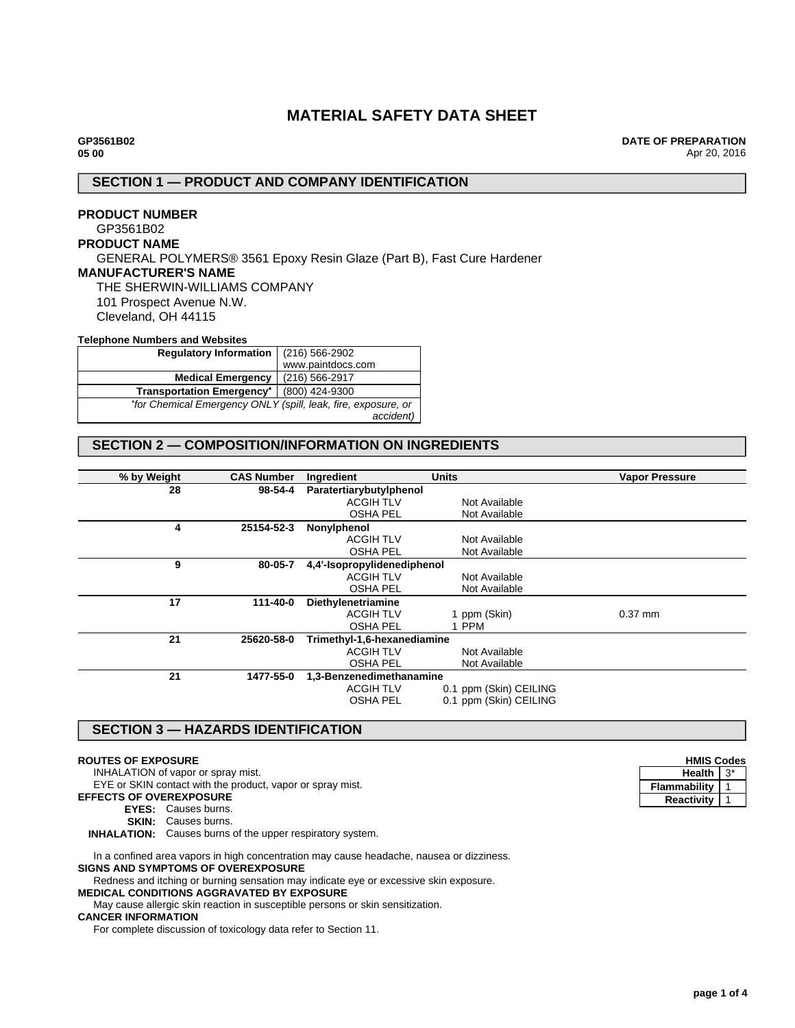# **MATERIAL SAFETY DATA SHEET**

**DATE OF PREPARATION** Apr 20, 2016

# **SECTION 1 — PRODUCT AND COMPANY IDENTIFICATION**

## **PRODUCT NUMBER** GP3561B02 **PRODUCT NAME** GENERAL POLYMERS® 3561 Epoxy Resin Glaze (Part B), Fast Cure Hardener **MANUFACTURER'S NAME** THE SHERWIN-WILLIAMS COMPANY 101 Prospect Avenue N.W. Cleveland, OH 44115 **Telephone Numbers and Websites**

| TVIVDIIVIIV INGIIIDVID GIIG TIVDJINGO                         |                   |  |
|---------------------------------------------------------------|-------------------|--|
| <b>Regulatory Information</b>                                 | (216) 566-2902    |  |
|                                                               | www.paintdocs.com |  |
| <b>Medical Emergency</b>                                      | (216) 566-2917    |  |
| <b>Transportation Emergency*</b>                              | (800) 424-9300    |  |
| *for Chemical Emergency ONLY (spill, leak, fire, exposure, or |                   |  |
|                                                               | accident)         |  |

# **SECTION 2 — COMPOSITION/INFORMATION ON INGREDIENTS**

| % by Weight | <b>CAS Number</b> | Ingredient                  | <b>Units</b>           | <b>Vapor Pressure</b> |
|-------------|-------------------|-----------------------------|------------------------|-----------------------|
| 28          | 98-54-4           | Paratertiarybutylphenol     |                        |                       |
|             |                   | <b>ACGIH TLV</b>            | Not Available          |                       |
|             |                   | <b>OSHA PEL</b>             | Not Available          |                       |
| 4           | 25154-52-3        | Nonylphenol                 |                        |                       |
|             |                   | <b>ACGIH TLV</b>            | Not Available          |                       |
|             |                   | <b>OSHA PEL</b>             | Not Available          |                       |
| 9           | 80-05-7           | 4,4'-Isopropylidenediphenol |                        |                       |
|             |                   | <b>ACGIH TLV</b>            | Not Available          |                       |
|             |                   | <b>OSHA PEL</b>             | Not Available          |                       |
| 17          | 111-40-0          | Diethylenetriamine          |                        |                       |
|             |                   | <b>ACGIH TLV</b>            | 1 ppm (Skin)           | $0.37$ mm             |
|             |                   | <b>OSHA PEL</b>             | 1 PPM                  |                       |
| 21          | 25620-58-0        | Trimethyl-1,6-hexanediamine |                        |                       |
|             |                   | <b>ACGIH TLV</b>            | Not Available          |                       |
|             |                   | <b>OSHA PEL</b>             | Not Available          |                       |
| 21          | 1477-55-0         | 1,3-Benzenedimethanamine    |                        |                       |
|             |                   | <b>ACGIH TLV</b>            | 0.1 ppm (Skin) CEILING |                       |
|             |                   | <b>OSHA PEL</b>             | 0.1 ppm (Skin) CEILING |                       |
|             |                   |                             |                        |                       |

### **SECTION 3 — HAZARDS IDENTIFICATION**

### **ROUTES OF EXPOSURE**

INHALATION of vapor or spray mist.

EYE or SKIN contact with the product, vapor or spray mist.

# **EFFECTS OF OVEREXPOSURE**

**EYES:** Causes burns.

**SKIN:** Causes burns.

**INHALATION:** Causes burns of the upper respiratory system.

In a confined area vapors in high concentration may cause headache, nausea or dizziness. **SIGNS AND SYMPTOMS OF OVEREXPOSURE**

Redness and itching or burning sensation may indicate eye or excessive skin exposure.

**MEDICAL CONDITIONS AGGRAVATED BY EXPOSURE** May cause allergic skin reaction in susceptible persons or skin sensitization.

### **CANCER INFORMATION**

For complete discussion of toxicology data refer to Section 11.

| <b>HMIS Codes</b> |  |  |
|-------------------|--|--|
| Health            |  |  |
| Flammability      |  |  |
| <b>Reactivity</b> |  |  |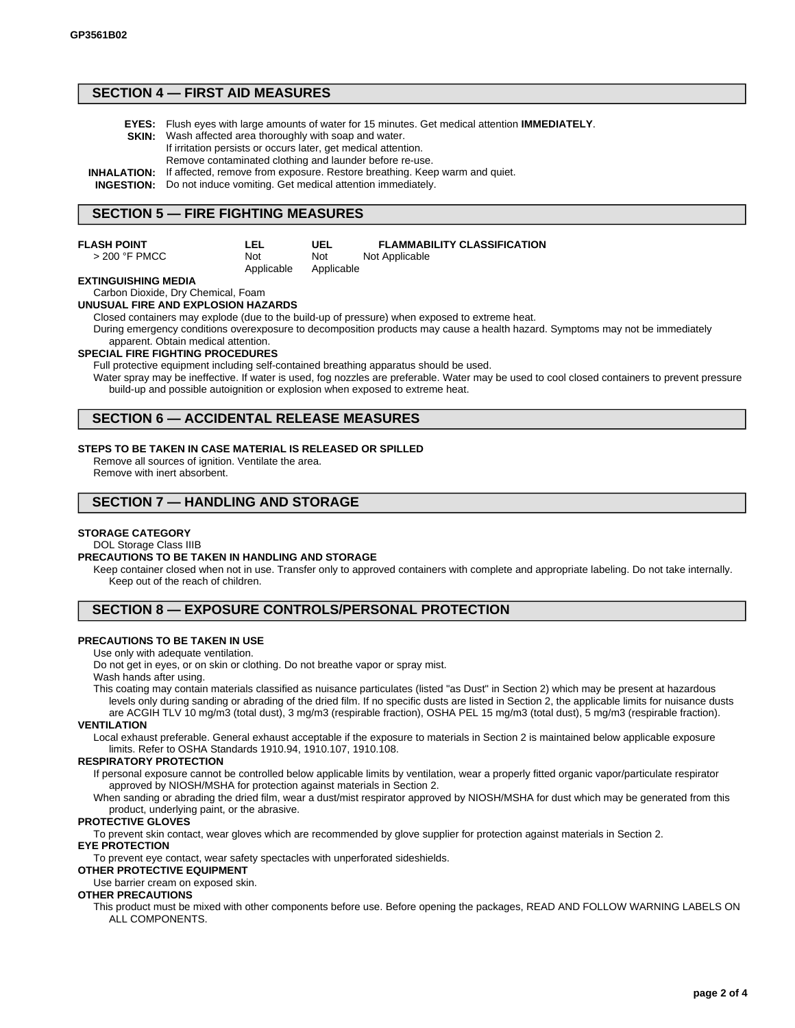### **SECTION 4 — FIRST AID MEASURES**

- **EYES:** Flush eyes with large amounts of water for 15 minutes. Get medical attention **IMMEDIATELY**.
- **SKIN:** Wash affected area thoroughly with soap and water.
	- If irritation persists or occurs later, get medical attention.
		- Remove contaminated clothing and launder before re-use.
- **INHALATION:** If affected, remove from exposure. Restore breathing. Keep warm and quiet.

**INGESTION:** Do not induce vomiting. Get medical attention immediately.

**LEL** Not Applicable

## **SECTION 5 — FIRE FIGHTING MEASURES**

#### **FLASH POINT**

> 200 °F PMCC

**UEL** Not Applicable **FLAMMABILITY CLASSIFICATION** Not Applicable

### **EXTINGUISHING MEDIA**

#### Carbon Dioxide, Dry Chemical, Foam **UNUSUAL FIRE AND EXPLOSION HAZARDS**

Closed containers may explode (due to the build-up of pressure) when exposed to extreme heat.

During emergency conditions overexposure to decomposition products may cause a health hazard. Symptoms may not be immediately apparent. Obtain medical attention.

#### **SPECIAL FIRE FIGHTING PROCEDURES**

Full protective equipment including self-contained breathing apparatus should be used.

Water spray may be ineffective. If water is used, fog nozzles are preferable. Water may be used to cool closed containers to prevent pressure build-up and possible autoignition or explosion when exposed to extreme heat.

## **SECTION 6 — ACCIDENTAL RELEASE MEASURES**

### **STEPS TO BE TAKEN IN CASE MATERIAL IS RELEASED OR SPILLED**

Remove all sources of ignition. Ventilate the area. Remove with inert absorbent.

### **SECTION 7 — HANDLING AND STORAGE**

#### **STORAGE CATEGORY**

### DOL Storage Class IIIB

#### **PRECAUTIONS TO BE TAKEN IN HANDLING AND STORAGE**

Keep container closed when not in use. Transfer only to approved containers with complete and appropriate labeling. Do not take internally. Keep out of the reach of children.

### **SECTION 8 — EXPOSURE CONTROLS/PERSONAL PROTECTION**

### **PRECAUTIONS TO BE TAKEN IN USE**

#### Use only with adequate ventilation.

Do not get in eyes, or on skin or clothing. Do not breathe vapor or spray mist. Wash hands after using.

This coating may contain materials classified as nuisance particulates (listed "as Dust" in Section 2) which may be present at hazardous levels only during sanding or abrading of the dried film. If no specific dusts are listed in Section 2, the applicable limits for nuisance dusts

are ACGIH TLV 10 mg/m3 (total dust), 3 mg/m3 (respirable fraction), OSHA PEL 15 mg/m3 (total dust), 5 mg/m3 (respirable fraction). **VENTILATION**

Local exhaust preferable. General exhaust acceptable if the exposure to materials in Section 2 is maintained below applicable exposure limits. Refer to OSHA Standards 1910.94, 1910.107, 1910.108.

### **RESPIRATORY PROTECTION**

If personal exposure cannot be controlled below applicable limits by ventilation, wear a properly fitted organic vapor/particulate respirator approved by NIOSH/MSHA for protection against materials in Section 2.

When sanding or abrading the dried film, wear a dust/mist respirator approved by NIOSH/MSHA for dust which may be generated from this product, underlying paint, or the abrasive.

### **PROTECTIVE GLOVES**

To prevent skin contact, wear gloves which are recommended by glove supplier for protection against materials in Section 2.

# **EYE PROTECTION**

To prevent eye contact, wear safety spectacles with unperforated sideshields.

# **OTHER PROTECTIVE EQUIPMENT**

Use barrier cream on exposed skin.

# **OTHER PRECAUTIONS**

This product must be mixed with other components before use. Before opening the packages, READ AND FOLLOW WARNING LABELS ON ALL COMPONENTS.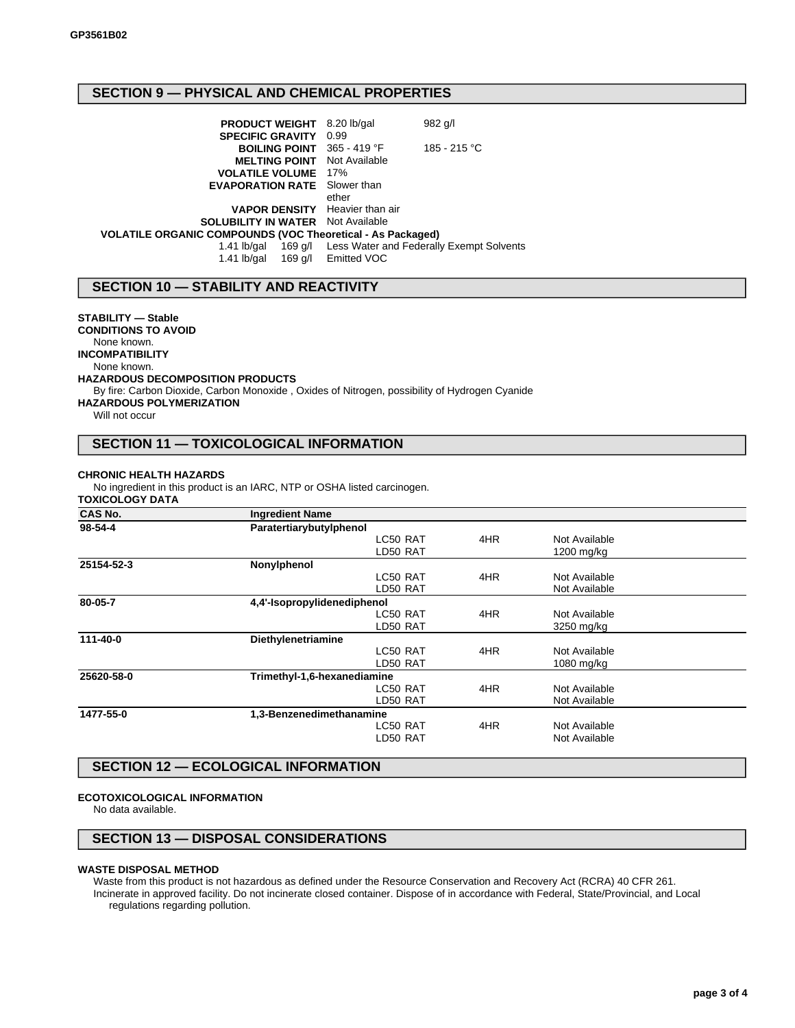# **SECTION 9 — PHYSICAL AND CHEMICAL PROPERTIES**

|                                                            | 982 g/l                                                                                                                                                                                                                                                                                                                                   |
|------------------------------------------------------------|-------------------------------------------------------------------------------------------------------------------------------------------------------------------------------------------------------------------------------------------------------------------------------------------------------------------------------------------|
|                                                            |                                                                                                                                                                                                                                                                                                                                           |
|                                                            | 185 - 215 °C                                                                                                                                                                                                                                                                                                                              |
|                                                            |                                                                                                                                                                                                                                                                                                                                           |
|                                                            |                                                                                                                                                                                                                                                                                                                                           |
|                                                            |                                                                                                                                                                                                                                                                                                                                           |
| ether                                                      |                                                                                                                                                                                                                                                                                                                                           |
|                                                            |                                                                                                                                                                                                                                                                                                                                           |
|                                                            |                                                                                                                                                                                                                                                                                                                                           |
| VOLATILE ORGANIC COMPOUNDS (VOC Theoretical - As Packaged) |                                                                                                                                                                                                                                                                                                                                           |
|                                                            | 1.41 lb/gal 169 g/l Less Water and Federally Exempt Solvents                                                                                                                                                                                                                                                                              |
|                                                            |                                                                                                                                                                                                                                                                                                                                           |
|                                                            | <b>PRODUCT WEIGHT</b> 8.20 lb/gal<br><b>SPECIFIC GRAVITY 0.99</b><br><b>BOILING POINT</b> 365 - 419 °F<br><b>MELTING POINT</b> Not Available<br><b>VOLATILE VOLUME</b> 17%<br><b>EVAPORATION RATE</b> Slower than<br><b>VAPOR DENSITY</b> Heavier than air<br><b>SOLUBILITY IN WATER</b> Not Available<br>1.41 lb/gal 169 g/l Emitted VOC |

## **SECTION 10 — STABILITY AND REACTIVITY**

### **STABILITY — Stable**

**CONDITIONS TO AVOID**

None known.

**INCOMPATIBILITY**

None known.

### **HAZARDOUS DECOMPOSITION PRODUCTS**

By fire: Carbon Dioxide, Carbon Monoxide , Oxides of Nitrogen, possibility of Hydrogen Cyanide

**HAZARDOUS POLYMERIZATION**

Will not occur

# **SECTION 11 — TOXICOLOGICAL INFORMATION**

#### **CHRONIC HEALTH HAZARDS**

No ingredient in this product is an IARC, NTP or OSHA listed carcinogen.

### **TOXICOLOGY DATA**

| <b>CAS No.</b> | <b>Ingredient Name</b>      |     |               |  |
|----------------|-----------------------------|-----|---------------|--|
| 98-54-4        | Paratertiarybutylphenol     |     |               |  |
|                | LC50 RAT                    | 4HR | Not Available |  |
|                | LD50 RAT                    |     | 1200 mg/kg    |  |
| 25154-52-3     | Nonylphenol                 |     |               |  |
|                | LC50 RAT                    | 4HR | Not Available |  |
|                | LD50 RAT                    |     | Not Available |  |
| 80-05-7        | 4,4'-Isopropylidenediphenol |     |               |  |
|                | LC50 RAT                    | 4HR | Not Available |  |
|                | LD50 RAT                    |     | 3250 mg/kg    |  |
| 111-40-0       | Diethylenetriamine          |     |               |  |
|                | LC50 RAT                    | 4HR | Not Available |  |
|                | LD50 RAT                    |     | 1080 mg/kg    |  |
| 25620-58-0     | Trimethyl-1,6-hexanediamine |     |               |  |
|                | LC50 RAT                    | 4HR | Not Available |  |
|                | LD50 RAT                    |     | Not Available |  |
| 1477-55-0      | 1,3-Benzenedimethanamine    |     |               |  |
|                | LC50 RAT                    | 4HR | Not Available |  |
|                | LD50 RAT                    |     | Not Available |  |
|                |                             |     |               |  |

# **SECTION 12 — ECOLOGICAL INFORMATION**

#### **ECOTOXICOLOGICAL INFORMATION**

No data available.

## **SECTION 13 — DISPOSAL CONSIDERATIONS**

### **WASTE DISPOSAL METHOD**

Waste from this product is not hazardous as defined under the Resource Conservation and Recovery Act (RCRA) 40 CFR 261. Incinerate in approved facility. Do not incinerate closed container. Dispose of in accordance with Federal, State/Provincial, and Local regulations regarding pollution.